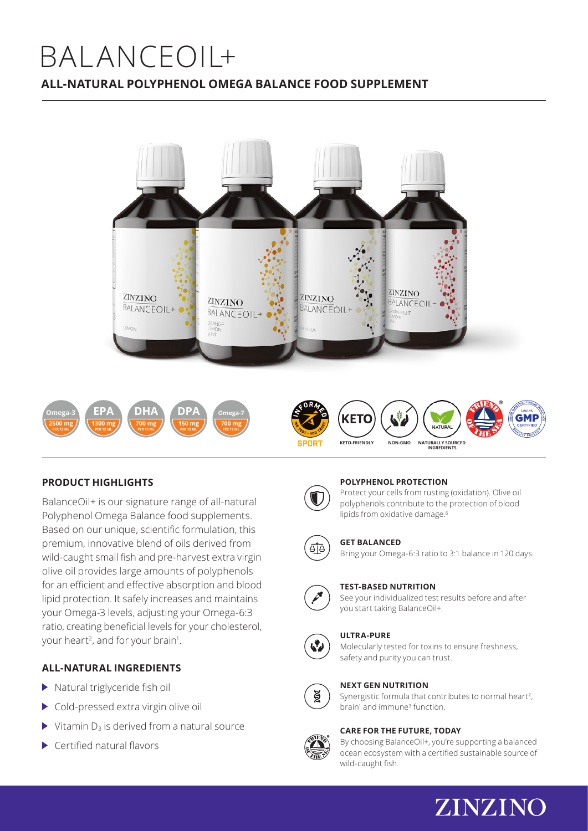# BALANCEOIL+ **ALL-NATURAL POLYPHENOL OMEGA BALANCE FOOD SUPPLEMENT**



# **PRODUCT HIGHLIGHTS**

BalanceOil+ is our signature range of all-natural Polyphenol Omega Balance food supplements. Based on our unique, scientific formulation, this premium, innovative blend of oils derived from wild-caught small fish and pre-harvest extra virgin olive oil provides large amounts of polyphenols for an efficient and effective absorption and blood lipid protection. It safely increases and maintains your Omega-3 levels, adjusting your Omega-6:3 ratio, creating beneficial levels for your cholesterol, your heart<sup>2</sup>, and for your brain<sup>1</sup>.

# **ALL-NATURAL INGREDIENTS**

- $\blacktriangleright$  Natural triglyceride fish oil
- ▶ Cold-pressed extra virgin olive oil
- $\triangleright$  Vitamin D<sub>3</sub> is derived from a natural source
- $\blacktriangleright$  Certified natural flavors

# **POLYPHENOL PROTECTION**

Protect your cells from rusting (oxidation). Olive oil polyphenols contribute to the protection of blood lipids from oxidative damage.<sup>6</sup>



### **GET BALANCED**

Bring your Omega-6:3 ratio to 3:1 balance in 120 days.



# **TEST-BASED NUTRITION**

See your individualized test results before and after you start taking BalanceOil+.



#### **ULTRA-PURE**

Molecularly tested for toxins to ensure freshness, safety and purity you can trust.



### **NEXT GEN NUTRITION**

Synergistic formula that contributes to normal heart<sup>2</sup>, brain<sup>1</sup> and immune<sup>3</sup> function.

#### **CARE FOR THE FUTURE, TODAY**



By choosing BalanceOil+, you're supporting a balanced ocean ecosystem with a certified sustainable source of wild-caught fish.

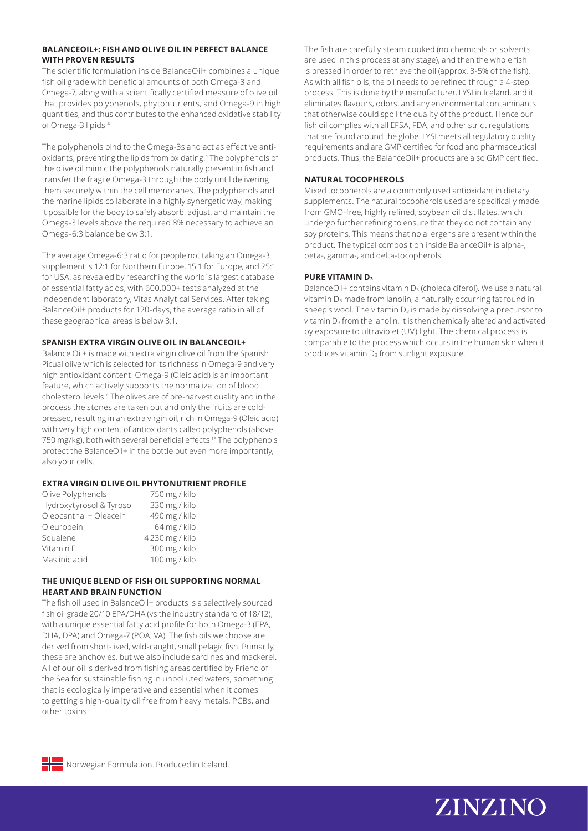#### **BALANCEOIL+: FISH AND OLIVE OIL IN PERFECT BALANCE WITH PROVEN RESULTS**

The scientific formulation inside BalanceOil+ combines a unique fish oil grade with beneficial amounts of both Omega-3 and Omega-7, along with a scientifically certified measure of olive oil that provides polyphenols, phytonutrients, and Omega-9 in high quantities, and thus contributes to the enhanced oxidative stability of Omega-3 lipids.4

The polyphenols bind to the Omega-3s and act as effective antioxidants, preventing the lipids from oxidating.4 The polyphenols of the olive oil mimic the polyphenols naturally present in fish and transfer the fragile Omega-3 through the body until delivering them securely within the cell membranes. The polyphenols and the marine lipids collaborate in a highly synergetic way, making it possible for the body to safely absorb, adjust, and maintain the Omega-3 levels above the required 8% necessary to achieve an Omega-6:3 balance below 3:1.

The average Omega-6:3 ratio for people not taking an Omega-3 supplement is 12:1 for Northern Europe, 15:1 for Europe, and 25:1 for USA, as revealed by researching the world´s largest database of essential fatty acids, with 600,000+ tests analyzed at the independent laboratory, Vitas Analytical Services. After taking BalanceOil+ products for 120-days, the average ratio in all of these geographical areas is below 3:1.

# **SPANISH EXTRA VIRGIN OLIVE OIL IN BALANCEOIL+**

Balance Oil+ is made with extra virgin olive oil from the Spanish Picual olive which is selected for its richness in Omega-9 and very high antioxidant content. Omega-9 (Oleic acid) is an important feature, which actively supports the normalization of blood cholesterol levels.4 The olives are of pre-harvest quality and in the process the stones are taken out and only the fruits are coldpressed, resulting in an extra virgin oil, rich in Omega-9 (Oleic acid) with very high content of antioxidants called polyphenols (above 750 mg/kg), both with several beneficial effects.<sup>15</sup> The polyphenols protect the BalanceOil+ in the bottle but even more importantly, also your cells.

# **EXTRA VIRGIN OLIVE OIL PHYTONUTRIENT PROFILE**

| Olive Polyphenols        | 750 mg / kilo  |
|--------------------------|----------------|
| Hydroxytyrosol & Tyrosol | 330 mg / kilo  |
| Oleocanthal + Oleacein   | 490 mg / kilo  |
| Oleuropein               | 64 mg / kilo   |
| Squalene                 | 4230 mg / kilo |
| Vitamin E                | 300 mg / kilo  |
| Maslinic acid            | 100 mg / kilo  |
|                          |                |

### **THE UNIQUE BLEND OF FISH OIL SUPPORTING NORMAL HEART AND BRAIN FUNCTION**

The fish oil used in BalanceOil+ products is a selectively sourced fish oil grade 20/10 EPA/DHA (vs the industry standard of 18/12), with a unique essential fatty acid profile for both Omega-3 (EPA, DHA, DPA) and Omega-7 (POA, VA). The fish oils we choose are derived from short-lived, wild-caught, small pelagic fish. Primarily, these are anchovies, but we also include sardines and mackerel. All of our oil is derived from fishing areas certified by Friend of the Sea for sustainable fishing in unpolluted waters, something that is ecologically imperative and essential when it comes to getting a high-quality oil free from heavy metals, PCBs, and other toxins.

The fish are carefully steam cooked (no chemicals or solvents are used in this process at any stage), and then the whole fish is pressed in order to retrieve the oil (approx. 3-5% of the fish). As with all fish oils, the oil needs to be refined through a 4-step process. This is done by the manufacturer, LYSI in Iceland, and it eliminates flavours, odors, and any environmental contaminants that otherwise could spoil the quality of the product. Hence our fish oil complies with all EFSA, FDA, and other strict regulations that are found around the globe. LYSI meets all regulatory quality requirements and are GMP certified for food and pharmaceutical products. Thus, the BalanceOil+ products are also GMP certified.

# **NATURAL TOCOPHEROLS**

Mixed tocopherols are a commonly used antioxidant in dietary supplements. The natural tocopherols used are specifically made from GMO-free, highly refined, soybean oil distillates, which undergo further refining to ensure that they do not contain any soy proteins. This means that no allergens are present within the product. The typical composition inside BalanceOil+ is alpha-, beta-, gamma-, and delta-tocopherols.

# **PURE VITAMIN D3**

BalanceOil+ contains vitamin D<sub>3</sub> (cholecalciferol). We use a natural vitamin  $D_3$  made from lanolin, a naturally occurring fat found in sheep's wool. The vitamin  $D_3$  is made by dissolving a precursor to vitamin  $D_3$  from the lanolin. It is then chemically altered and activated by exposure to ultraviolet (UV) light. The chemical process is comparable to the process which occurs in the human skin when it produces vitamin  $D_3$  from sunlight exposure.



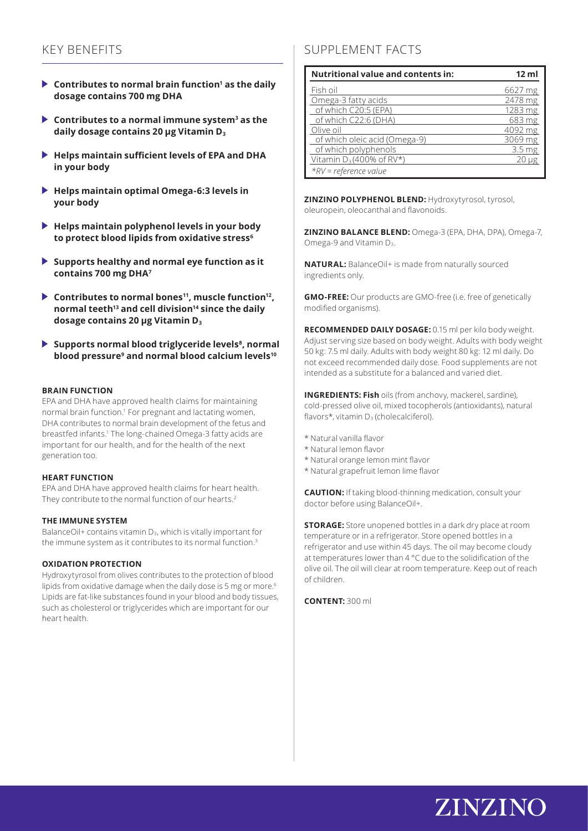- **Contributes to normal brain function<sup>1</sup> as the daily dosage contains 700 mg DHA**
- **Contributes to a normal immune system3 as the daily dosage contains 20 μg Vitamin D<sup>3</sup>**
- **Helps maintain sufficient levels of EPA and DHA in your body**
- **Helps maintain optimal Omega-6:3 levels in your body**
- **Helps maintain polyphenol levels in your body to protect blood lipids from oxidative stress6**
- **Supports healthy and normal eye function as it contains 700 mg DHA7**
- ▶ Contributes to normal bones<sup>11</sup>, muscle function<sup>12</sup>, **normal teeth13 and cell division14 since the daily dosage contains 20 μg Vitamin D<sup>3</sup>**
- ▶ Supports normal blood triglyceride levels<sup>8</sup>, normal **blood pressure9 and normal blood calcium levels10**

#### **BRAIN FUNCTION**

EPA and DHA have approved health claims for maintaining normal brain function.1 For pregnant and lactating women, DHA contributes to normal brain development of the fetus and breastfed infants.<sup>1</sup> The long-chained Omega-3 fatty acids are important for our health, and for the health of the next generation too.

#### **HEART FUNCTION**

EPA and DHA have approved health claims for heart health. They contribute to the normal function of our hearts.2

#### **THE IMMUNE SYSTEM**

BalanceOil+ contains vitamin  $D_3$ , which is vitally important for the immune system as it contributes to its normal function.<sup>3</sup>

#### **OXIDATION PROTECTION**

Hydroxytyrosol from olives contributes to the protection of blood lipids from oxidative damage when the daily dose is 5 mg or more.<sup>6</sup> Lipids are fat-like substances found in your blood and body tissues, such as cholesterol or triglycerides which are important for our heart health.

# KEY BENEFITS SUPPLEMENT FACTS

| <b>Nutritional value and contents in:</b> | 12 ml             |
|-------------------------------------------|-------------------|
| Fish oil                                  | 6627 mg           |
| Omega-3 fatty acids                       | 2478 mg           |
| of which C20:5 (EPA)                      | 1283 mg           |
| of which C22:6 (DHA)                      | 683 mg            |
| Olive oil                                 | 4092 mg           |
| of which oleic acid (Omega-9)             | 3069 mg           |
| of which polyphenols                      | 3.5 <sub>mg</sub> |
| Vitamin $D_3(400\% \text{ of RV*})$       | $20 \mu g$        |
| *RV = reference value                     |                   |

**ZINZINO POLYPHENOL BLEND:** Hydroxytyrosol, tyrosol, oleuropein, oleocanthal and flavonoids.

**ZINZINO BALANCE BLEND:** Omega-3 (EPA, DHA, DPA), Omega-7, Omega-9 and Vitamin D<sub>3</sub>.

**NATURAL:** BalanceOil+ is made from naturally sourced ingredients only.

**GMO-FREE:** Our products are GMO-free (i.e. free of genetically modified organisms).

**RECOMMENDED DAILY DOSAGE:** 0.15 ml per kilo body weight. Adjust serving size based on body weight. Adults with body weight 50 kg: 7.5 ml daily. Adults with body weight 80 kg: 12 ml daily. Do not exceed recommended daily dose. Food supplements are not intended as a substitute for a balanced and varied diet.

**INGREDIENTS: Fish** oils (from anchovy, mackerel, sardine), cold-pressed olive oil, mixed tocopherols (antioxidants), natural flavors\*, vitamin  $D_3$  (cholecalciferol).

- \* Natural vanilla flavor
- \* Natural lemon flavor
- \* Natural orange lemon mint flavor
- \* Natural grapefruit lemon lime flavor

**CAUTION:** If taking blood-thinning medication, consult your doctor before using BalanceOil+.

**STORAGE:** Store unopened bottles in a dark dry place at room temperature or in a refrigerator. Store opened bottles in a refrigerator and use within 45 days. The oil may become cloudy at temperatures lower than 4 °C due to the solidification of the olive oil. The oil will clear at room temperature. Keep out of reach of children.

**CONTENT:** 300 ml